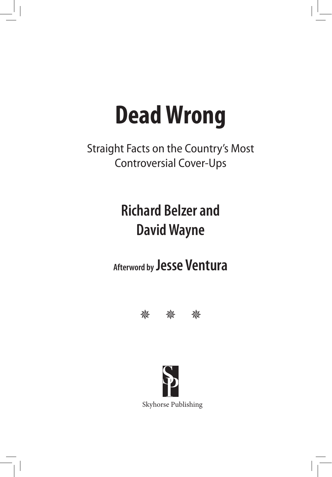# **Dead Wrong**

Straight Facts on the Country's Most Controversial Cover-Ups

### **Richard Belzer and David Wayne**

**Afterword by Jesse Ventura**





Skyhorse Publishing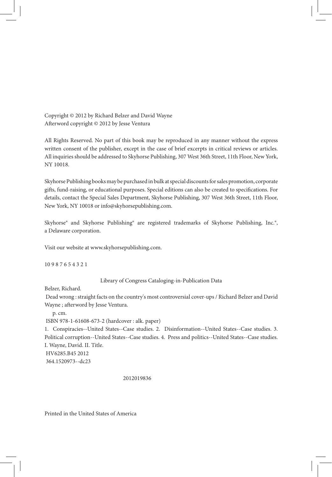Copyright © 2012 by Richard Belzer and David Wayne Afterword copyright © 2012 by Jesse Ventura

All Rights Reserved. No part of this book may be reproduced in any manner without the express written consent of the publisher, except in the case of brief excerpts in critical reviews or articles. All inquiries should be addressed to Skyhorse Publishing, 307 West 36th Street, 11th Floor, New York, NY 10018.

Skyhorse Publishing books may be purchased in bulk at special discounts for sales promotion, corporate gifts, fund-raising, or educational purposes. Special editions can also be created to specifications. For details, contact the Special Sales Department, Skyhorse Publishing, 307 West 36th Street, 11th Floor, New York, NY 10018 or info@skyhorsepublishing.com.

Skyhorse® and Skyhorse Publishing® are registered trademarks of Skyhorse Publishing, Inc.®, a Delaware corporation.

Visit our website at www.skyhorsepublishing.com.

10 9 8 7 6 5 4 3 2 1

Library of Congress Cataloging-in-Publication Data

Belzer, Richard.

 Dead wrong : straight facts on the country's most controversial cover-ups / Richard Belzer and David Wayne ; afterword by Jesse Ventura.

p. cm.

ISBN 978-1-61608-673-2 (hardcover : alk. paper)

1. Conspiracies--United States--Case studies. 2. Disinformation--United States--Case studies. 3. Political corruption--United States--Case studies. 4. Press and politics--United States--Case studies. I. Wayne, David. II. Title. HV6285.B45 2012

364.1520973--dc23

2012019836

Printed in the United States of America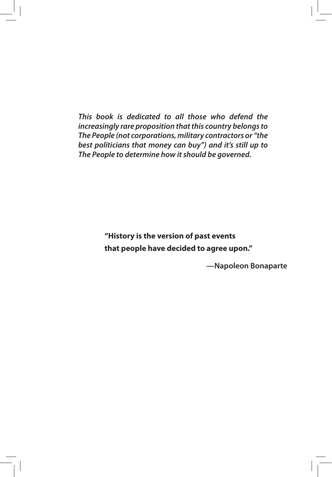*This book is dedicated to all those who defend the increasingly rare proposition that this country belongs to The People (not corporations, military contractors or "the best politicians that money can buy") and it's still up to The People to determine how it should be governed.*

> **"History is the version of past events that people have decided to agree upon."**

> > **—Napoleon Bonaparte**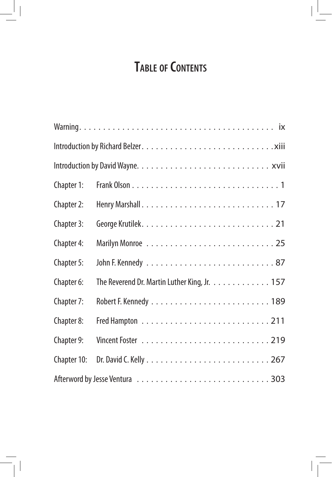### **Table of Contents**

| Chapter 1:  |                                              |
|-------------|----------------------------------------------|
| Chapter 2:  |                                              |
| Chapter 3:  |                                              |
| Chapter 4:  |                                              |
| Chapter 5:  |                                              |
| Chapter 6:  | The Reverend Dr. Martin Luther King, Jr. 157 |
| Chapter 7:  |                                              |
| Chapter 8:  |                                              |
| Chapter 9:  |                                              |
| Chapter 10: |                                              |
|             |                                              |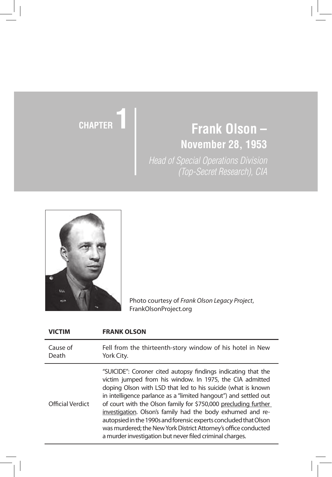## **CHAPTER 1 Frank Olson – November 28, 1953**

Head of Special Operations Division (Top-Secret Research), CIA



Photo courtesy of *Frank Olson Legacy Project*, FrankOlsonProject.org

| <b>VICTIM</b>     | <b>FRANK OLSON</b>                                                                                                                                                                                                                                                                                                                                                                                                                                                                                                                                                                                |
|-------------------|---------------------------------------------------------------------------------------------------------------------------------------------------------------------------------------------------------------------------------------------------------------------------------------------------------------------------------------------------------------------------------------------------------------------------------------------------------------------------------------------------------------------------------------------------------------------------------------------------|
| Cause of<br>Death | Fell from the thirteenth-story window of his hotel in New<br>York City.                                                                                                                                                                                                                                                                                                                                                                                                                                                                                                                           |
| Official Verdict  | "SUICIDE": Coroner cited autopsy findings indicating that the<br>victim jumped from his window. In 1975, the CIA admitted<br>doping Olson with LSD that led to his suicide (what is known<br>in intelligence parlance as a "limited hangout") and settled out<br>of court with the Olson family for \$750,000 precluding further<br>investigation. Olson's family had the body exhumed and re-<br>autopsied in the 1990s and forensic experts concluded that Olson<br>was murdered; the New York District Attorney's office conducted<br>a murder investigation but never filed criminal charges. |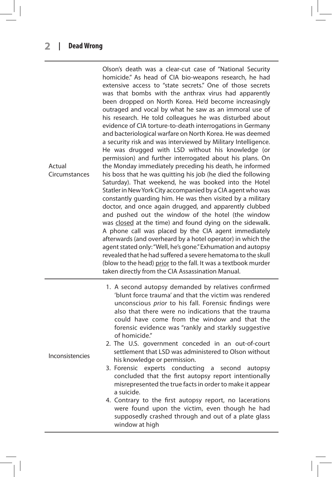Actual

Circumstances Olson's death was a clear-cut case of "National Security homicide." As head of CIA bio-weapons research, he had extensive access to "state secrets." One of those secrets was that bombs with the anthrax virus had apparently been dropped on North Korea. He'd become increasingly outraged and vocal by what he saw as an immoral use of his research. He told colleagues he was disturbed about evidence of CIA torture-to-death interrogations in Germany and bacteriological warfare on North Korea. He was deemed a security risk and was interviewed by Military Intelligence. He was drugged with LSD without his knowledge (or permission) and further interrogated about his plans. On the Monday immediately preceding his death, he informed his boss that he was quitting his job (he died the following Saturday). That weekend, he was booked into the Hotel Statler in New York City accompanied by a CIA agent who was constantly guarding him. He was then visited by a military doctor, and once again drugged, and apparently clubbed and pushed out the window of the hotel (the window was closed at the time) and found dying on the sidewalk. A phone call was placed by the CIA agent immediately afterwards (and overheard by a hotel operator) in which the agent stated only: "Well, he's gone." Exhumation and autopsy revealed that he had suffered a severe hematoma to the skull (blow to the head) prior to the fall. It was a textbook murder taken directly from the CIA Assassination Manual.

- 1. A second autopsy demanded by relatives confirmed 'blunt force trauma' and that the victim was rendered unconscious *prior* to his fall. Forensic findings were also that there were no indications that the trauma could have come from the window and that the forensic evidence was "rankly and starkly suggestive of homicide."
- 2. The U.S. government conceded in an out-of-court settlement that LSD was administered to Olson without his knowledge or permission.
- 3. Forensic experts conducting a second autopsy concluded that the first autopsy report intentionally misrepresented the true facts in order to make it appear a suicide.
- 4. Contrary to the first autopsy report, no lacerations were found upon the victim, even though he had supposedly crashed through and out of a plate glass window at high

Inconsistencies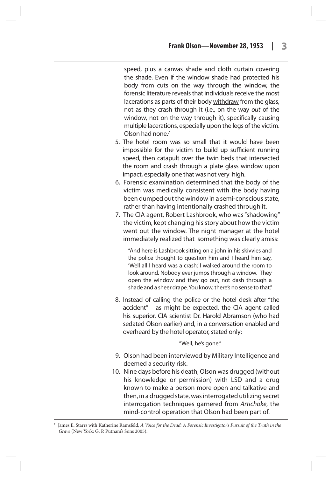speed, plus a canvas shade and cloth curtain covering the shade. Even if the window shade had protected his body from cuts on the way through the window, the forensic literature reveals that individuals receive the most lacerations as parts of their body withdraw from the glass, not as they crash through it (i.e., on the way *out* of the window, not on the way through it), specifically causing multiple lacerations, especially upon the legs of the victim. Olson had none.7

- 5. The hotel room was so small that it would have been impossible for the victim to build up sufficient running speed, then catapult over the twin beds that intersected the room and crash through a plate glass window upon impact, especially one that was not very high.
- 6. Forensic examination determined that the body of the victim was medically consistent with the body having been dumped out the window in a semi-conscious state, rather than having intentionally crashed through it.
- 7. The CIA agent, Robert Lashbrook, who was "shadowing" the victim, kept changing his story about how the victim went out the window. The night manager at the hotel immediately realized that something was clearly amiss:

"And here is Lashbrook sitting on a john in his skivvies and the police thought to question him and I heard him say, 'Well all I heard was a crash.' I walked around the room to look around. Nobody ever jumps through a window. They open the window and they go out, not dash through a shade and a sheer drape. You know, there's no sense to that."

8. Instead of calling the police or the hotel desk after "the accident" as might be expected, the CIA agent called his superior, CIA scientist Dr. Harold Abramson (who had sedated Olson earlier) and, in a conversation enabled and overheard by the hotel operator, stated only:

"Well, he's gone."

- 9. Olson had been interviewed by Military Intelligence and deemed a security risk.
- 10. Nine days before his death, Olson was drugged (without his knowledge or permission) with LSD and a drug known to make a person more open and talkative and then, in a drugged state, was interrogated utilizing secret interrogation techniques garnered from *Artichoke*, the mind-control operation that Olson had been part of.

<sup>7</sup> James E. Starrs with Katherine Ramsfeld, *A Voice for the Dead: A Forensic Investigator's Pursuit of the Truth in the Grave* (New York: G. P. Putnam's Sons 2005).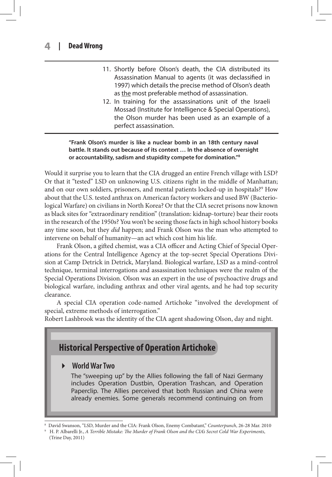- 11. Shortly before Olson's death, the CIA distributed its Assassination Manual to agents (it was declassified in 1997) which details the precise method of Olson's death as the most preferable method of assassination.
- 12. In training for the assassinations unit of the Israeli Mossad (Institute for Intelligence & Special Operations), the Olson murder has been used as an example of a perfect assassination.

#### **"Frank Olson's murder is like a nuclear bomb in an 18th century naval battle. It stands out because of its context … In the absence of oversight or accountability, sadism and stupidity compete for domination."8**

Would it surprise you to learn that the CIA drugged an entire French village with LSD? Or that it "tested" LSD on unknowing U.S. citizens right in the middle of Manhattan; and on our own soldiers, prisoners, and mental patients locked-up in hospitals?<sup>9</sup> How about that the U.S. tested anthrax on American factory workers and used BW (Bacteriological Warfare) on civilians in North Korea? Or that the CIA secret prisons now known as black sites for "extraordinary rendition" (translation: kidnap-torture) bear their roots in the research of the 1950s? You won't be seeing those facts in high school history books any time soon, but they *did* happen; and Frank Olson was the man who attempted to intervene on behalf of humanity—an act which cost him his life.

Frank Olson, a gifted chemist, was a CIA officer and Acting Chief of Special Operations for the Central Intelligence Agency at the top-secret Special Operations Division at Camp Detrick in Detrick, Maryland. Biological warfare, LSD as a mind-control technique, terminal interrogations and assassination techniques were the realm of the Special Operations Division*.* Olson was an expert in the use of psychoactive drugs and biological warfare, including anthrax and other viral agents, and he had top security clearance.

A special CIA operation code-named Artichoke "involved the development of special, extreme methods of interrogation."

Robert Lashbrook was the identity of the CIA agent shadowing Olson, day and night.

### **Historical Perspective of Operation Artichoke**

**World War Two**

The "sweeping up" by the Allies following the fall of Nazi Germany includes Operation Dustbin, Operation Trashcan, and Operation Paperclip. The Allies perceived that both Russian and China were already enemies. Some generals recommend continuing on from

<sup>8</sup> David Swanson, "LSD, Murder and the CIA: Frank Olson, Enemy Combatant," *Counterpunch*, 26-28 Mar. 2010

<sup>9</sup> H. P. Albarelli Jr., *A Terrible Mistake: The Murder of Frank Olson and the CIA's Secret Cold War Experiments*, (Trine Day, 2011)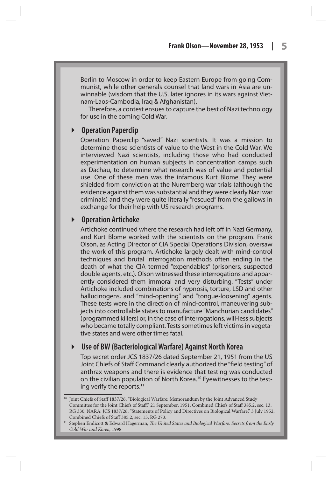Berlin to Moscow in order to keep Eastern Europe from going Communist, while other generals counsel that land wars in Asia are unwinnable (wisdom that the U.S. later ignores in its wars against Vietnam-Laos-Cambodia, Iraq & Afghanistan).

Therefore, a contest ensues to capture the best of Nazi technology for use in the coming Cold War.

#### **Operation Paperclip**

Operation Paperclip "saved" Nazi scientists. It was a mission to determine those scientists of value to the West in the Cold War. We interviewed Nazi scientists, including those who had conducted experimentation on human subjects in concentration camps such as Dachau, to determine what research was of value and potential use. One of these men was the infamous Kurt Blome. They were shielded from conviction at the Nuremberg war trials (although the evidence against them was substantial and they were clearly Nazi war criminals) and they were quite literally "rescued" from the gallows in exchange for their help with US research programs.

#### **Operation Artichoke**

Artichoke continued where the research had left off in Nazi Germany, and Kurt Blome worked with the scientists on the program. Frank Olson, as Acting Director of CIA Special Operations Division, oversaw the work of this program. Artichoke largely dealt with mind-control techniques and brutal interrogation methods often ending in the death of what the CIA termed "expendables" (prisoners, suspected double agents, etc.). Olson witnessed these interrogations and apparently considered them immoral and very disturbing. "Tests" under Artichoke included combinations of hypnosis, torture, LSD and other hallucinogens, and "mind-opening" and "tongue-loosening" agents. These tests were in the direction of mind-control, maneuvering subjects into controllable states to manufacture "Manchurian candidates" (programmed killers) or, in the case of interrogations, will-less subjects who became totally compliant. Tests sometimes left victims in vegetative states and were other times fatal.

#### **Use of BW (Bacteriological Warfare) Against North Korea**

Top secret order JCS 1837/26 dated September 21, 1951 from the US Joint Chiefs of Staff Command clearly authorized the "field testing" of anthrax weapons and there is evidence that testing was conducted on the civilian population of North Korea.<sup>10</sup> Eyewitnesses to the testing verify the reports.<sup>11</sup>

<sup>&</sup>lt;sup>10</sup> Joint Chiefs of Staff 1837/26, "Biological Warfare: Memorandum by the Joint Advanced Study Committee for the Joint Chiefs of Staff," 21 September, 1951, Combined Chiefs of Staff 385.2, sec. 13, RG 330, NARA: JCS 1837/26, "Statements of Policy and Directives on Biological Warfare," 3 July 1952, Combined Chiefs of Staff 385.2, sec. 15, RG 273.

<sup>11</sup> Stephen Endicott & Edward Hagerman, *The United States and Biological Warfare: Secrets from the Early Cold War and Korea,* 1998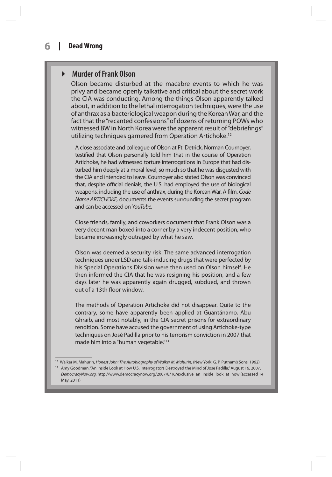#### **Murder of Frank Olson**

Olson became disturbed at the macabre events to which he was privy and became openly talkative and critical about the secret work the CIA was conducting. Among the things Olson apparently talked about, in addition to the lethal interrogation techniques, were the use of anthrax as a bacteriological weapon during the Korean War, and the fact that the "recanted confessions" of dozens of returning POWs who witnessed BW in North Korea were the apparent result of "debriefings" utilizing techniques garnered from Operation Artichoke.12

A close associate and colleague of Olson at Ft. Detrick, Norman Cournoyer, testified that Olson personally told him that in the course of Operation Artichoke, he had witnessed torture interrogations in Europe that had disturbed him deeply at a moral level, so much so that he was disgusted with the CIA and intended to leave. Cournoyer also stated Olson was convinced that, despite official denials, the U.S. had employed the use of biological weapons, including the use of anthrax, during the Korean War. A film, *Code Name ARTICHOKE,* documents the events surrounding the secret program and can be accessed on *YouTube.*

Close friends, family, and coworkers document that Frank Olson was a very decent man boxed into a corner by a very indecent position, who became increasingly outraged by what he saw.

Olson was deemed a security risk. The same advanced interrogation techniques under LSD and talk-inducing drugs that were perfected by his Special Operations Division were then used on Olson himself. He then informed the CIA that he was resigning his position, and a few days later he was apparently again drugged, subdued, and thrown out of a 13th floor window.

The methods of Operation Artichoke did not disappear. Quite to the contrary, some have apparently been applied at Guantánamo, Abu Ghraib, and most notably, in the CIA secret prisons for extraordinary rendition. Some have accused the government of using Artichoke-type techniques on José Padilla prior to his terrorism conviction in 2007 that made him into a "human vegetable."<sup>13</sup>

<sup>&</sup>lt;sup>12</sup> Walker M. Mahurin, *Honest John: The Autobiography of Walker M. Mahurin*, (New York: G. P. Putnam's Sons, 1962)

<sup>13</sup> Amy Goodman, "An Inside Look at How U.S. Interrogators Destroyed the Mind of Jose Padilla," August 16, 2007, *DemocracyNow.org,* http://www.democracynow.org/2007/8/16/exclusive\_an\_inside\_look\_at\_how (accessed 14 May, 2011)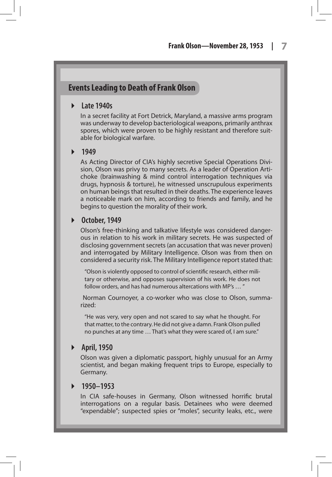#### **Events Leading to Death of Frank Olson**

#### **Late 1940s**

In a secret facility at Fort Detrick, Maryland, a massive arms program was underway to develop bacteriological weapons, primarily anthrax spores, which were proven to be highly resistant and therefore suitable for biological warfare.

#### **1949**

As Acting Director of CIA's highly secretive Special Operations Division, Olson was privy to many secrets. As a leader of Operation Artichoke (brainwashing & mind control interrogation techniques via drugs, hypnosis & torture), he witnessed unscrupulous experiments on human beings that resulted in their deaths. The experience leaves a noticeable mark on him, according to friends and family, and he begins to question the morality of their work.

#### **October, 1949**

Olson's free-thinking and talkative lifestyle was considered dangerous in relation to his work in military secrets. He was suspected of disclosing government secrets (an accusation that was never proven) and interrogated by Military Intelligence. Olson was from then on considered a security risk. The Military Intelligence report stated that:

"Olson is violently opposed to control of scientific research, either military or otherwise, and opposes supervision of his work. He does not follow orders, and has had numerous altercations with MP's … "

 Norman Cournoyer, a co-worker who was close to Olson, summarized:

"He was very, very open and not scared to say what he thought. For that matter, to the contrary. He did not give a damn. Frank Olson pulled no punches at any time … That's what they were scared of, I am sure."

#### **April, 1950**

Olson was given a diplomatic passport, highly unusual for an Army scientist, and began making frequent trips to Europe, especially to Germany.

#### **1950–1953**

In CIA safe-houses in Germany, Olson witnessed horrific brutal interrogations on a regular basis. Detainees who were deemed "expendable"; suspected spies or "moles", security leaks, etc., were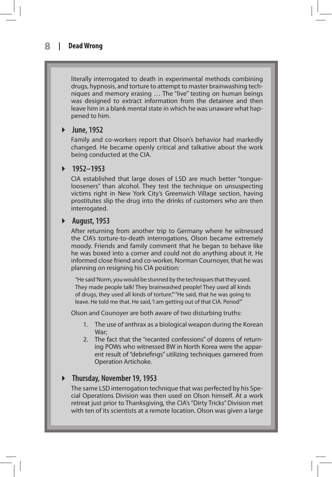literally interrogated to death in experimental methods combining drugs, hypnosis, and torture to attempt to master brainwashing techniques and memory erasing … The "live" testing on human beings was designed to extract information from the detainee and then leave him in a blank mental state in which he was unaware what happened to him.

#### **June, 1952**

Family and co-workers report that Olson's behavior had markedly changed. He became openly critical and talkative about the work being conducted at the CIA.

#### **1952–1953**

CIA established that large doses of LSD are much better "tonguelooseners" than alcohol. They test the technique on unsuspecting victims right in New York City's Greenwich Village section, having prostitutes slip the drug into the drinks of customers who are then interrogated.

#### **August, 1953**

After returning from another trip to Germany where he witnessed the CIA's torture-to-death interrogations, Olson became extremely moody. Friends and family comment that he began to behave like he was boxed into a corner and could not do anything about it. He informed close friend and co-worker, Norman Cournoyer, that he was planning on resigning his CIA position:

"He said 'Norm, you would be stunned by the techniques that they used. They made people talk! They brainwashed people! They used all kinds of drugs, they used all kinds of torture.'" "He said, that he was going to leave. He told me that. He said, 'I am getting out of that CIA. Period'"

Olson and Counoyer are both aware of two disturbing truths:

- 1. The use of anthrax as a biological weapon during the Korean War;
- 2. The fact that the "recanted confessions" of dozens of returning POWs who witnessed BW in North Korea were the apparent result of "debriefings" utilizing techniques garnered from Operation Artichoke.

#### **Thursday, November 19, 1953**

The same LSD interrogation technique that was perfected by his Special Operations Division was then used on Olson himself. At a work retreat just prior to Thanksgiving, the CIA's "Dirty Tricks" Division met with ten of its scientists at a remote location. Olson was given a large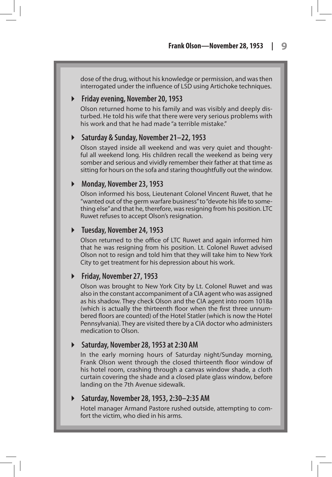Armond Pastore, who was the night manager at the hotel, had seen more than his dose of the drug, without his knowledge or permission, and was then **interrogated under the influence of LSD using Artichoke techniques.** 

#### **Friday evening, November 20, 1953**

turbed. He told his wife that there were very serious problems with his work and that he had made "a terrible mistake." Olson returned home to his family and was visibly and deeply dis-

#### **a Saturday & Sunday, November 21–22, 1953**

Olson stayed inside all weekend and was very quiet and thought-**"The first call that Lashbrook made was not to the hotel management or**  somber and serious and vividly remember their father at that time as **the police, but to his superior, Dr. Sid Gottlieb, at his home in Virginia, to**  sitting for hours on the sofa and staring thoughtfully out the window. **tell him what had happened. Then he reported to the hotel desk clerk and**  ful all weekend long. His children recall the weekend as being very

#### ▶ Monday, November 23, 1953

**"In those days all of the calls were manual. You call the operator and you**  "wanted out of the germ warfare business" to "devote his life to somewanted but of the genii wantale basiness to devote his me to some thing else" and that he, therefore, was resigning from his position. LTC shing cise and that ne, therefore, was resigning nonrinis position. Er Ruwet refuses to accept Olson's resignation. Olson informed his boss, Lieutenant Colonel Vincent Ruwet, that he

#### **Example 34, 1953 Conduct 1 means up. I means up. I means up. I means up. I means up. I means up. I means up. I means up. I means up. I means up. I means up. I means up. I means up. I means up. I means up. I means up. I**

**more suspicious than that? You don't have to be a genius to figure out**  Olson returned to the office of LTC Ruwet and again informed him that he was resigning from his position. Lt. Colonel Ruwet advised **night."16** Olson not to resign and told him that they will take him to New York City to get treatment for his depression about his work.

### **Kathryn Olmstead, Professor of History at the University of California, discovered at the University of California, discovered at the University of California, discovered at the University of California, and University of**

documents indicating a White House-level cover-up of the Frank Olson case, related Olson was brought to New York City by Lt. Colonel Ruwet and was **the secret use of anti-** was brought to New TOIK City by Et. Colorier nuwet and was also in the constant accompaniment of a CIA agent who was assigned also in the constant accompaniment of a circuity wild was assigned<br>as his shadow. They check Olson and the CIA agent into room 1018a part of Olson's make with the making of and other biological weapons. The material weapons is to be discussed the main the first three unnumhered floors are counted) of the Hotel Statler (which is now the Hotel **Disk Chene you are Exercise assisted there by a CIA doctor who administers One of the documents that Professor Olson.** The documents that Professor Olympic states: **medication** to Olson.

#### $\blacktriangleright$  Saturday, November 28, 1953 at 2:30 AM

In the early morning hours of Saturday night/Sunday morning, **In another memo, Cheney and Following: In another memoral is hotel room, crashing through a canvas window shade, a cloth "The Olson lawyers will seek to explore all the circumstances of Dr Olson's**  Frank Olson went through the closed thirteenth floor window of curtain covering the shade and a closed plate glass window, before landing on the 7th Avenue sidewalk.

#### **Example 28, 1953, 2:30–2:35 AM Saturday, November 28, 1953, 2:30–2:35 AM**

**become apparent that we are concealing evidence for national security reached manager Armand Pastore rushed outside, attempting to com-**<br> **Armand Pastore rushed outside, attempting to com**fort the victim, who died in his arms.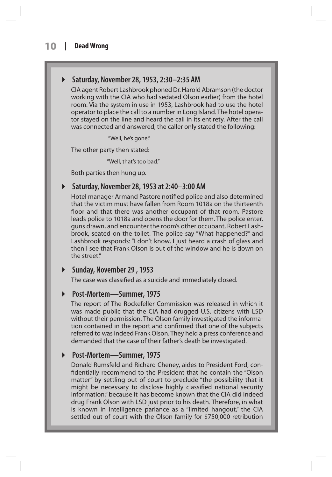#### Rumsfeld were given the task in the 1970s of covering up the details of Olson's death. **Saturday, November 28, 1953, 2:30–2:35 AM**

CIA agent Robert Lashbrook phoned Dr. Harold Abramson (the doctor working with the CIA who had sedated Olson earlier) from the hotel room. Via the system in use in 1953, Lashbrook had to use the hotel operator to place the call to a number in Long Island. The hotel operator stayed on the line and heard the call in its entirety. After the call was connected and answered, the caller only stated the following:

Many observers, therefore, have "connected the dots" and concluded that Cheney and

 $f(x) = \frac{1}{2} \int_0^x \frac{1}{2} \left| \frac{1}{2} \right| \left| \frac{1}{2} \right| \left| \frac{1}{2} \right| \left| \frac{1}{2} \right| \left| \frac{1}{2} \right| \left| \frac{1}{2} \right| \left| \frac{1}{2} \right| \left| \frac{1}{2} \right| \left| \frac{1}{2} \right| \left| \frac{1}{2} \right| \left| \frac{1}{2} \right| \left| \frac{1}{2} \right| \left| \frac{1}{2} \right| \left| \frac{1}{2} \right| \left| \frac{1}{2} \right| \$ **The names of the system is the names of the names of the names of the chemical chemical chemical chemical** chemical control of the chemical chemical chemical chemical chemical chemical chemical chemical chemical chemical "Well, he's gone."

**The other party then stated: Current Secretary of Defense Secretary of Defense. The other stated:** 

**They have never been questioned as to what they knew about Olson's**  "Well, that's too bad."

Both parties then hung up.

#### Public Domain **► Saturday, November 28, 1953 at 2:40–3:00 AM**

**Heffer** Hotel manager Armand Pastore notified police and also determined  $\blacksquare$ **The short that the victim must have fallen from Room 1018a on the thirteenth leads police to 1018a and opens the door for them. The police enter, and professor actually enter** guns drawn, and encounter the room's other occupant, Robert Lashthen I see that Frank Olson is out of the window and he is down on **and deception on the part of those persons and agencies most closely as-**the street." floor and that there was another occupant of that room. Pastore brook, seated on the toilet. The police say "What happened?" and Lashbrook responds: "I don't know, I just heard a crash of glass and

#### **founday, November 29 , 1953** *Confluence of scientific fact and investigation* $\mathbb{R}^n$

**tigative fact points unerringly to the death of Frank Olson as being a homi-**The case was classified as a suicide and immediately closed.

#### **Post-Mortem—Summer, 1975**

**The report of The Rockefeller Commission was released in which it** the CIA is the CIA secret prisons now known as black sites for the translation was made public that the CIA had drugged U.S. citizens with LSD without their permission. The Olson family investigated the informa**the sum in the report and confirmed that one of the subjects Referred to was indeed Frank Olson. They held a press conference and act which of humanity demanded that the case of their father's death be investigated.** 

#### Frank Olson, a gifted chemist, was a CIA officer and Acting Chief of Special Opera**tions for the Central Intelligence Agency at the top-secret Special Operations Division Operations Division Operations Operations Operations Division Operations Operations Operations Division Operations Operations Operati**

night.

**Donald Rumsfeld and Richard Cheney, aides to President Ford, conincelety** fidentially recommend to the President that he contain the "Olson  $\Box$ **Experise in the user of interpretenal values in the use** of court to preclude "the possibility that it might be necessary to disclose highly classified national security clearance. information," because it has become known that the CIA did indeed extreme methods of interrogation." is known in Intelligence parlance as a "limited hangout," the CIA Is known in intemgence parameted as a immediating out, the CIA settled out of court with the Olson family for \$750,000 retribution drug Frank Olson with LSD just prior to his death. Therefore, in what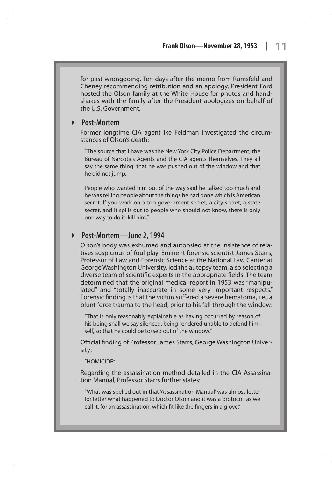for past wrongdoing. Ten days after the memo from Rumsfeld and Cheney recommending retribution and an apology, President Ford hosted the Olson family at the White House for photos and handshakes with the family after the President apologizes on behalf of the U.S. Government.

#### **Post-Mortem**

Former longtime CIA agent Ike Feldman investigated the circumstances of Olson's death:

"The source that I have was the New York City Police Department, the Bureau of Narcotics Agents and the CIA agents themselves. They all say the same thing: that he was pushed out of the window and that he did not jump.

People who wanted him out of the way said he talked too much and he was telling people about the things he had done which is American secret. If you work on a top government secret, a city secret, a state secret, and it spills out to people who should not know, there is only one way to do it: kill him."

#### **Post-Mortem—June 2, 1994**

Olson's body was exhumed and autopsied at the insistence of relatives suspicious of foul play. Eminent forensic scientist James Starrs, Professor of Law and Forensic Science at the National Law Center at George Washington University, led the autopsy team, also selecting a diverse team of scientific experts in the appropriate fields. The team determined that the original medical report in 1953 was "manipulated" and "totally inaccurate in some very important respects." Forensic finding is that the victim suffered a severe hematoma, i.e., a blunt force trauma to the head, prior to his fall through the window:

"That is only reasonably explainable as having occurred by reason of his being shall we say silenced, being rendered unable to defend himself, so that he could be tossed out of the window."

Official finding of Professor James Starrs, George Washington University:

#### "HOMICIDE"

Regarding the assassination method detailed in the CIA Assassination Manual, Professor Starrs further states:

"What was spelled out in that 'Assassination Manual' was almost letter for letter what happened to Doctor Olson and it was a protocol, as we call it, for an assassination, which fit like the fingers in a glove."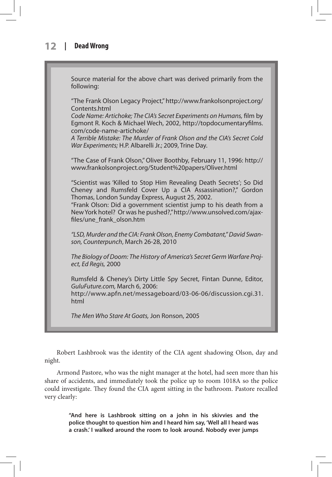#### **12 | Dead Wrong**



Robert Lashbrook was the identity of the CIA agent shadowing Olson, day and night.

Armond Pastore, who was the night manager at the hotel, had seen more than his share of accidents, and immediately took the police up to room 1018A so the police could investigate. They found the CIA agent sitting in the bathroom. Pastore recalled very clearly:

> **"And here is Lashbrook sitting on a john in his skivvies and the police thought to question him and I heard him say, 'Well all I heard was a crash.' I walked around the room to look around. Nobody ever jumps**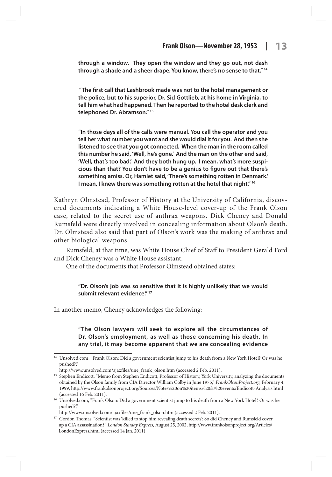**through a window. They open the window and they go out, not dash through a shade and a sheer drape. You know, there's no sense to that." 14** 

 **"The first call that Lashbrook made was not to the hotel management or the police, but to his superior, Dr. Sid Gottlieb, at his home in Virginia, to tell him what had happened. Then he reported to the hotel desk clerk and telephoned Dr. Abramson." 15** 

**"In those days all of the calls were manual. You call the operator and you tell her what number you want and she would dial it for you. And then she listened to see that you got connected. When the man in the room called this number he said, 'Well, he's gone.' And the man on the other end said,**  'Well, that's too bad.' And they both hung up. I mean, what's more suspi**cious than that? You don't have to be a genius to figure out that there's something amiss. Or, Hamlet said, 'There's something rotten in Denmark.' I mean, I knew there was something rotten at the hotel that night." 16**

Kathryn Olmstead, Professor of History at the University of California, discovered documents indicating a White House-level cover-up of the Frank Olson case, related to the secret use of anthrax weapons. Dick Cheney and Donald Rumsfeld were directly involved in concealing information about Olson's death. Dr. Olmstead also said that part of Olson's work was the making of anthrax and other biological weapons.

Rumsfeld, at that time, was White House Chief of Staff to President Gerald Ford and Dick Cheney was a White House assistant.

One of the documents that Professor Olmstead obtained states:

#### **"Dr. Olson's job was so sensitive that it is highly unlikely that we would submit relevant evidence." 17**

In another memo, Cheney acknowledges the following:

#### **"The Olson lawyers will seek to explore all the circumstances of Dr. Olson's employment, as well as those concerning his death. In any trial, it may become apparent that we are concealing evidence**

<sup>14</sup> Unsolved.com, "Frank Olson: Did a government scientist jump to his death from a New York Hotel? Or was he pushed?,"

http://www.unsolved.com/ajaxfiles/une\_frank\_olson.htm (accessed 2 Feb. 2011).

<sup>15</sup> Stephen Endicott, "Memo from Stephen Endicott, Professor of History, York University, analyzing the documents obtained by the Olson family from CIA Director William Colby in June 1975," *FrankOlsonProject.org,* February 4, 1999, http://www.frankolsonproject.org/Sources/Notes%20on%20items%20&%20events/Endicott-Analysis.html

<sup>(</sup>accessed 16 Feb. 2011). 16 Unsolved.com, "Frank Olson: Did a government scientist jump to his death from a New York Hotel? Or was he pushed?,"

http://www.unsolved.com/ajaxfiles/une\_frank\_olson.htm (accessed 2 Feb. 2011).

<sup>&</sup>lt;sup>17</sup> Gordon Thomas, "Scientist was 'killed to stop him revealing death secrets'; So did Cheney and Rumsfeld cover up a CIA assassination?" *London Sunday Express,* August 25, 2002, http://www.frankolsonproject.org/Articles/ LondonExpress.html (accessed 14 Jan. 2011)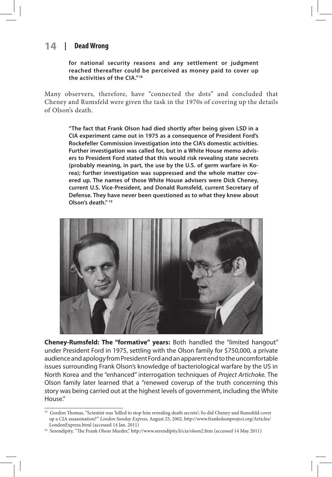#### **14 | Dead Wrong**

**for national security reasons and any settlement or judgment reached thereafter could be perceived as money paid to cover up the activities of the CIA."18**

Many observers, therefore, have "connected the dots" and concluded that Cheney and Rumsfeld were given the task in the 1970s of covering up the details of Olson's death.

> **"The fact that Frank Olson had died shortly after being given LSD in a CIA experiment came out in 1975 as a consequence of President Ford's Rockefeller Commission investigation into the CIA's domestic activities. Further investigation was called for, but in a White House memo advisers to President Ford stated that this would risk revealing state secrets (probably meaning, in part, the use by the U.S. of germ warfare in Korea); further investigation was suppressed and the whole matter covered up. The names of those White House advisers were Dick Cheney, current U.S. Vice-President, and Donald Rumsfeld, current Secretary of Defense. They have never been questioned as to what they knew about Olson's death." 19**



**Cheney-Rumsfeld: The "formative" years:** Both handled the "limited hangout" under President Ford in 1975, settling with the Olson family for \$750,000, a private audience and apology from President Ford and an apparent end to the uncomfortable issues surrounding Frank Olson's knowledge of bacteriological warfare by the US in North Korea and the "enhanced" interrogation techniques of *Project Artichoke.* The Olson family later learned that a "renewed coverup of the truth concerning this story was being carried out at the highest levels of government, including the White House."

<sup>&</sup>lt;sup>18</sup> Gordon Thomas, "Scientist was 'killed to stop him revealing death secrets'; So did Cheney and Rumsfeld cover up a CIA assassination?" *London Sunday Express,* August 25, 2002, http://www.frankolsonproject.org/Articles/ LondonExpress.html (accessed 14 Jan. 2011)

<sup>19</sup> Serendipity, "The Frank Olson Murder," http://www.serendipity.li/cia/olson2.htm (accessed 14 May 2011)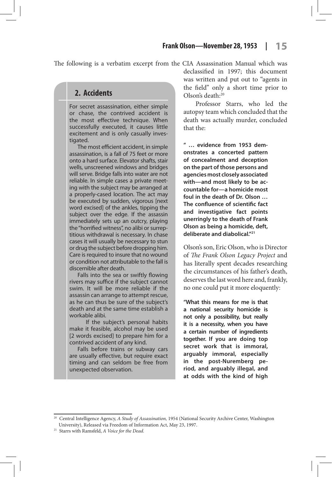The following is a verbatim excerpt from the CIA Assassination Manual which was

#### **2. Accidents**

For secret assassination, either simple or chase, the contrived accident is the most effective technique. When successfully executed, it causes little excitement and is only casually investigated.

The most efficient accident, in simple assassination, is a fall of 75 feet or more onto a hard surface. Elevator shafts, stair wells, unscreened windows and bridges will serve. Bridge falls into water are not reliable. In simple cases a private meeting with the subject may be arranged at a properly-cased location. The act may be executed by sudden, vigorous [next word excised] of the ankles, tipping the subject over the edge. If the assassin immediately sets up an outcry, playing the "horrified witness", no alibi or surreptitious withdrawal is necessary. In chase cases it will usually be necessary to stun or drug the subject before dropping him. Care is required to insure that no wound or condition not attributable to the fall is discernible after death.

Falls into the sea or swiftly flowing rivers may suffice if the subject cannot swim. It will be more reliable if the assassin can arrange to attempt rescue, as he can thus be sure of the subject's death and at the same time establish a workable alibi.

 If the subject's personal habits make it feasible, alcohol may be used [2 words excised] to prepare him for a contrived accident of any kind.

Falls before trains or subway cars are usually effective, but require exact timing and can seldom be free from unexpected observation.

declassified in 1997; this document was written and put out to "agents in the field" only a short time prior to Olson's death:20

Professor Starrs, who led the autopsy team which concluded that the death was actually murder, concluded that the:

**" … evidence from 1953 demonstrates a concerted pattern of concealment and deception on the part of those persons and agencies most closely associated with—and most likely to be accountable for—a homicide most foul in the death of Dr. Olson … The confluence of scientific fact and investigative fact points unerringly to the death of Frank Olson as being a homicide, deft, deliberate and diabolical."21**

Olson's son, Eric Olson, who is Director of *The Frank Olson Legacy Project* and has literally spent decades researching the circumstances of his father's death, deserves the last word here and, frankly, no one could put it more eloquently:

**"What this means for me is that a national security homicide is not only a possibility, but really it is a necessity, when you have a certain number of ingredients together. If you are doing top secret work that is immoral, arguably immoral, especially in the post-Nuremberg period, and arguably illegal, and at odds with the kind of high** 

<sup>20</sup> Central Intelligence Agency, *A Study of Assassination,* 1954 (National Security Archive Center, Washington University), Released via Freedom of Information Act, May 23, 1997.

<sup>21</sup> Starrs with Ramsfeld, *A Voice for the Dead.*